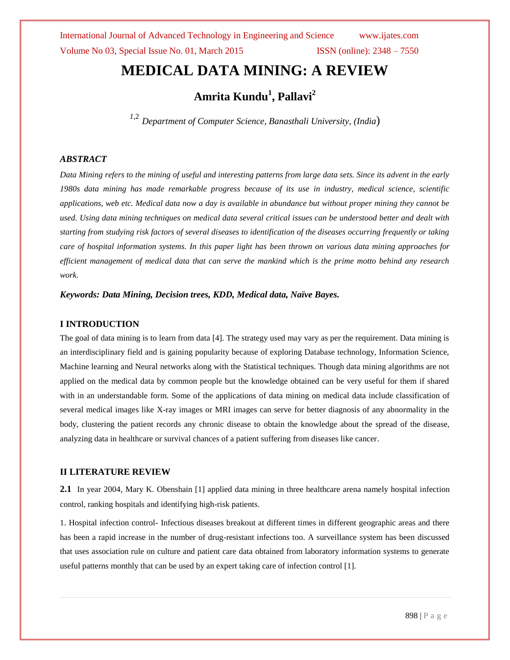# **MEDICAL DATA MINING: A REVIEW**

**Amrita Kundu<sup>1</sup> , Pallavi<sup>2</sup>**

*<sup>1</sup>*,2 *Department of Computer Science, Banasthali University, (India*)

## *ABSTRACT*

*Data Mining refers to the mining of useful and interesting patterns from large data sets. Since its advent in the early 1980s data mining has made remarkable progress because of its use in industry, medical science, scientific applications, web etc. Medical data now a day is available in abundance but without proper mining they cannot be used. Using data mining techniques on medical data several critical issues can be understood better and dealt with starting from studying risk factors of several diseases to identification of the diseases occurring frequently or taking care of hospital information systems. In this paper light has been thrown on various data mining approaches for efficient management of medical data that can serve the mankind which is the prime motto behind any research work.*

*Keywords: Data Mining, Decision trees, KDD, Medical data, Naïve Bayes.*

## **I INTRODUCTION**

The goal of data mining is to learn from data [4]. The strategy used may vary as per the requirement. Data mining is an interdisciplinary field and is gaining popularity because of exploring Database technology, Information Science, Machine learning and Neural networks along with the Statistical techniques. Though data mining algorithms are not applied on the medical data by common people but the knowledge obtained can be very useful for them if shared with in an understandable form. Some of the applications of data mining on medical data include classification of several medical images like X-ray images or MRI images can serve for better diagnosis of any abnormality in the body, clustering the patient records any chronic disease to obtain the knowledge about the spread of the disease, analyzing data in healthcare or survival chances of a patient suffering from diseases like cancer.

## **II LITERATURE REVIEW**

**2.1** In year 2004, Mary K. Obenshain [1] applied data mining in three healthcare arena namely hospital infection control, ranking hospitals and identifying high-risk patients.

1. Hospital infection control- Infectious diseases breakout at different times in different geographic areas and there has been a rapid increase in the number of drug-resistant infections too. A surveillance system has been discussed that uses association rule on culture and patient care data obtained from laboratory information systems to generate useful patterns monthly that can be used by an expert taking care of infection control [1].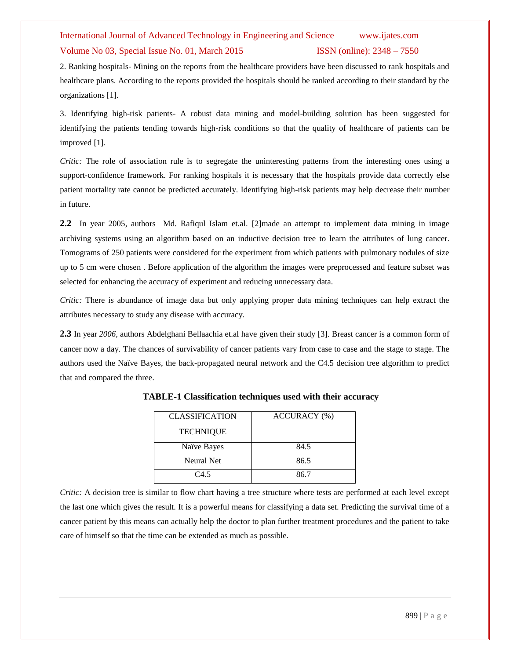## Volume No 03, Special Issue No. 01, March 2015 ISSN (online): 2348 – 7550

2. Ranking hospitals- Mining on the reports from the healthcare providers have been discussed to rank hospitals and healthcare plans. According to the reports provided the hospitals should be ranked according to their standard by the organizations [1].

3. Identifying high-risk patients- A robust data mining and model-building solution has been suggested for identifying the patients tending towards high-risk conditions so that the quality of healthcare of patients can be improved [1].

*Critic:* The role of association rule is to segregate the uninteresting patterns from the interesting ones using a support-confidence framework. For ranking hospitals it is necessary that the hospitals provide data correctly else patient mortality rate cannot be predicted accurately. Identifying high-risk patients may help decrease their number in future.

**2.2** In year 2005, authors Md. Rafiqul Islam et.al. [2]made an attempt to implement data mining in image archiving systems using an algorithm based on an inductive decision tree to learn the attributes of lung cancer. Tomograms of 250 patients were considered for the experiment from which patients with pulmonary nodules of size up to 5 cm were chosen . Before application of the algorithm the images were preprocessed and feature subset was selected for enhancing the accuracy of experiment and reducing unnecessary data.

*Critic:* There is abundance of image data but only applying proper data mining techniques can help extract the attributes necessary to study any disease with accuracy.

**2.3** In year *2006,* authors Abdelghani Bellaachia et.al have given their study [3]. Breast cancer is a common form of cancer now a day. The chances of survivability of cancer patients vary from case to case and the stage to stage. The authors used the Naïve Bayes, the back-propagated neural network and the C4.5 decision tree algorithm to predict that and compared the three.

| <b>CLASSIFICATION</b> | ACCURACY (%) |
|-----------------------|--------------|
| <b>TECHNIQUE</b>      |              |
| Naïve Bayes           | 84.5         |
| Neural Net            | 86.5         |
| C4.5                  | 86.7         |

**TABLE-1 Classification techniques used with their accuracy**

*Critic:* A decision tree is similar to flow chart having a tree structure where tests are performed at each level except the last one which gives the result. It is a powerful means for classifying a data set. Predicting the survival time of a cancer patient by this means can actually help the doctor to plan further treatment procedures and the patient to take care of himself so that the time can be extended as much as possible.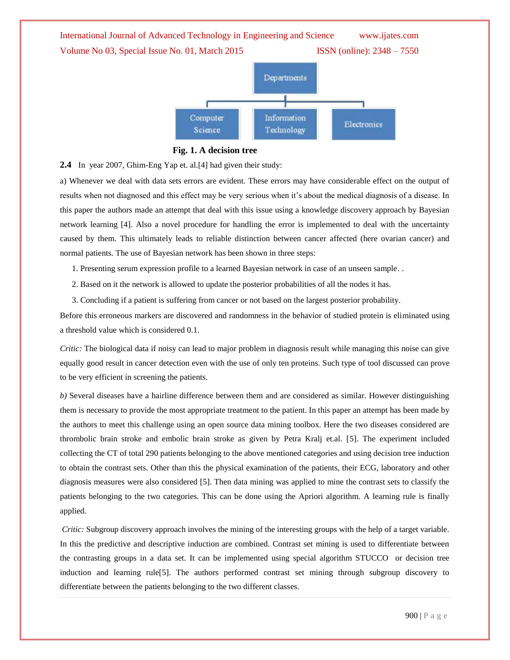

 **Fig. 1. A decision tree**

**2.4** In year 2007, Ghim-Eng Yap et. al.[4] had given their study:

a) Whenever we deal with data sets errors are evident. These errors may have considerable effect on the output of results when not diagnosed and this effect may be very serious when it"s about the medical diagnosis of a disease. In this paper the authors made an attempt that deal with this issue using a knowledge discovery approach by Bayesian network learning [4]. Also a novel procedure for handling the error is implemented to deal with the uncertainty caused by them. This ultimately leads to reliable distinction between cancer affected (here ovarian cancer) and normal patients. The use of Bayesian network has been shown in three steps:

1. Presenting serum expression profile to a learned Bayesian network in case of an unseen sample. .

- 2. Based on it the network is allowed to update the posterior probabilities of all the nodes it has.
- 3. Concluding if a patient is suffering from cancer or not based on the largest posterior probability.

Before this erroneous markers are discovered and randomness in the behavior of studied protein is eliminated using a threshold value which is considered 0.1.

*Critic:* The biological data if noisy can lead to major problem in diagnosis result while managing this noise can give equally good result in cancer detection even with the use of only ten proteins. Such type of tool discussed can prove to be very efficient in screening the patients.

*b)* Several diseases have a hairline difference between them and are considered as similar. However distinguishing them is necessary to provide the most appropriate treatment to the patient. In this paper an attempt has been made by the authors to meet this challenge using an open source data mining toolbox. Here the two diseases considered are thrombolic brain stroke and embolic brain stroke as given by Petra Kralj et.al. [5]. The experiment included collecting the CT of total 290 patients belonging to the above mentioned categories and using decision tree induction to obtain the contrast sets. Other than this the physical examination of the patients, their ECG, laboratory and other diagnosis measures were also considered [5]. Then data mining was applied to mine the contrast sets to classify the patients belonging to the two categories. This can be done using the Apriori algorithm. A learning rule is finally applied.

*Critic:* Subgroup discovery approach involves the mining of the interesting groups with the help of a target variable. In this the predictive and descriptive induction are combined. Contrast set mining is used to differentiate between the contrasting groups in a data set. It can be implemented using special algorithm STUCCO or decision tree induction and learning rule[5]. The authors performed contrast set mining through subgroup discovery to differentiate between the patients belonging to the two different classes.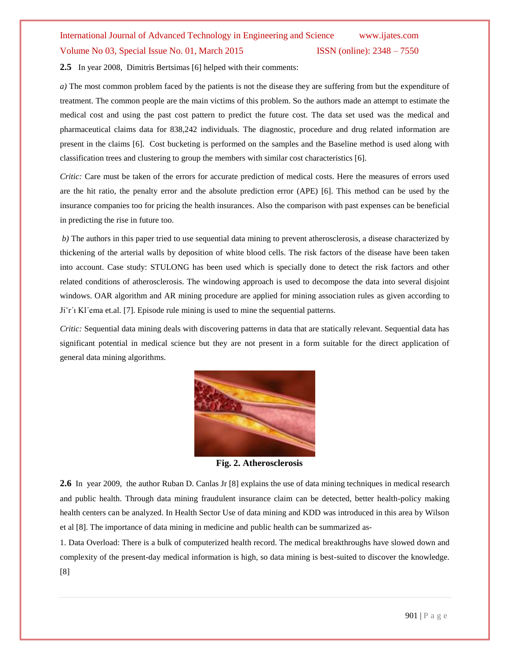# International Journal of Advanced Technology in Engineering and Science www.ijates.com Volume No 03, Special Issue No. 01, March 2015 ISSN (online): 2348 – 7550

**2.5** In year 2008, Dimitris Bertsimas [6] helped with their comments:

*a)* The most common problem faced by the patients is not the disease they are suffering from but the expenditure of treatment. The common people are the main victims of this problem. So the authors made an attempt to estimate the medical cost and using the past cost pattern to predict the future cost. The data set used was the medical and pharmaceutical claims data for 838,242 individuals. The diagnostic, procedure and drug related information are present in the claims [6]. Cost bucketing is performed on the samples and the Baseline method is used along with classification trees and clustering to group the members with similar cost characteristics [6].

*Critic:* Care must be taken of the errors for accurate prediction of medical costs. Here the measures of errors used are the hit ratio, the penalty error and the absolute prediction error (APE) [6]. This method can be used by the insurance companies too for pricing the health insurances. Also the comparison with past expenses can be beneficial in predicting the rise in future too.

*b)* The authors in this paper tried to use sequential data mining to prevent atherosclerosis, a disease characterized by thickening of the arterial walls by deposition of white blood cells. The risk factors of the disease have been taken into account. Case study: STULONG has been used which is specially done to detect the risk factors and other related conditions of atherosclerosis. The windowing approach is used to decompose the data into several disjoint windows. OAR algorithm and AR mining procedure are applied for mining association rules as given according to Jiˇr´ı Kl´ema et.al. [7]. Episode rule mining is used to mine the sequential patterns.

*Critic:* Sequential data mining deals with discovering patterns in data that are statically relevant. Sequential data has significant potential in medical science but they are not present in a form suitable for the direct application of general data mining algorithms.



 **Fig. 2. Atherosclerosis**

**2.6** In year 2009, the author Ruban D. Canlas Jr [8] explains the use of data mining techniques in medical research and public health. Through data mining fraudulent insurance claim can be detected, better health-policy making health centers can be analyzed. In Health Sector Use of data mining and KDD was introduced in this area by Wilson et al [8]. The importance of data mining in medicine and public health can be summarized as-

1. Data Overload: There is a bulk of computerized health record. The medical breakthroughs have slowed down and complexity of the present-day medical information is high, so data mining is best-suited to discover the knowledge. [8]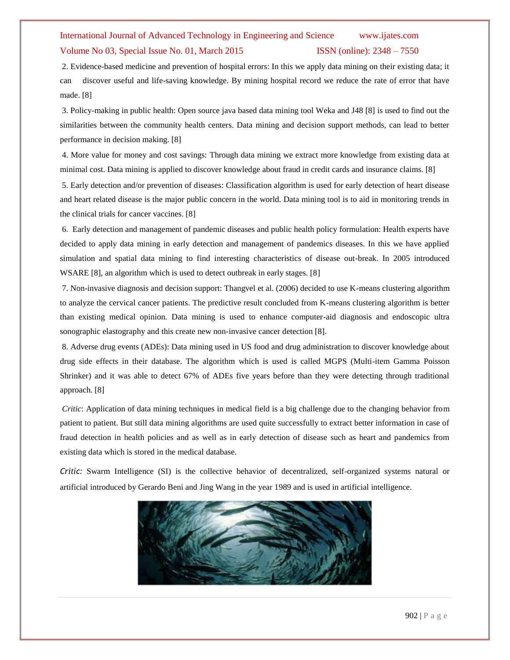### Volume No 03, Special Issue No. 01, March 2015 ISSN (online): 2348 – 7550

2. Evidence-based medicine and prevention of hospital errors: In this we apply data mining on their existing data; it can discover useful and life-saving knowledge. By mining hospital record we reduce the rate of error that have made. [8]

3. Policy-making in public health: Open source java based data mining tool Weka and J48 [8] is used to find out the similarities between the community health centers. Data mining and decision support methods, can lead to better performance in decision making. [8]

4. More value for money and cost savings: Through data mining we extract more knowledge from existing data at minimal cost. Data mining is applied to discover knowledge about fraud in credit cards and insurance claims. [8]

5. Early detection and/or prevention of diseases: Classification algorithm is used for early detection of heart disease and heart related disease is the major public concern in the world. Data mining tool is to aid in monitoring trends in the clinical trials for cancer vaccines. [8]

6. Early detection and management of pandemic diseases and public health policy formulation: Health experts have decided to apply data mining in early detection and management of pandemics diseases. In this we have applied simulation and spatial data mining to find interesting characteristics of disease out-break. In 2005 introduced WSARE [8], an algorithm which is used to detect outbreak in early stages. [8]

7. Non-invasive diagnosis and decision support: Thangvel et al. (2006) decided to use K-means clustering algorithm to analyze the cervical cancer patients. The predictive result concluded from K-means clustering algorithm is better than existing medical opinion. Data mining is used to enhance computer-aid diagnosis and endoscopic ultra sonographic elastography and this create new non-invasive cancer detection [8].

8. Adverse drug events (ADEs): Data mining used in US food and drug administration to discover knowledge about drug side effects in their database. The algorithm which is used is called MGPS (Multi-item Gamma Poisson Shrinker) and it was able to detect 67% of ADEs five years before than they were detecting through traditional approach. [8]

*Critic*: Application of data mining techniques in medical field is a big challenge due to the changing behavior from patient to patient. But still data mining algorithms are used quite successfully to extract better information in case of fraud detection in health policies and as well as in early detection of disease such as heart and pandemics from existing data which is stored in the medical database.

*Critic:* Swarm Intelligence (SI) is the collective behavior of decentralized, self-organized systems natural or artificial introduced by Gerardo Beni and Jing Wang in the year 1989 and is used in artificial intelligence.

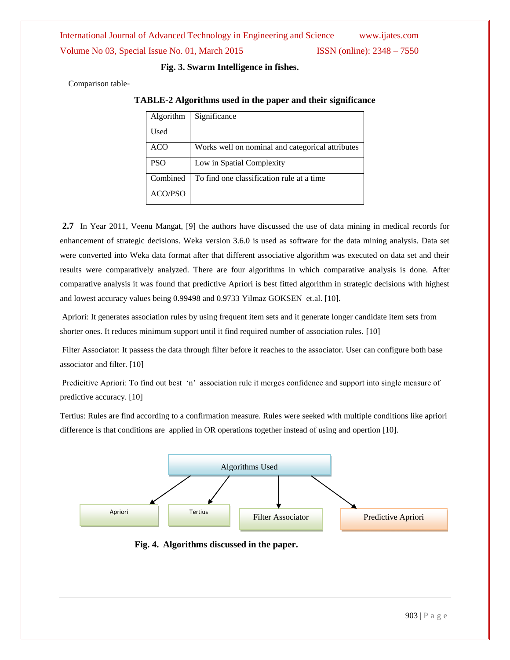International Journal of Advanced Technology in Engineering and Science www.ijates.com Volume No 03, Special Issue No. 01, March 2015 ISSN (online): 2348 – 7550

 **Fig. 3. Swarm Intelligence in fishes.**

Comparison table-

**TABLE-2 Algorithms used in the paper and their significance**

| Algorithm      | Significance                                     |
|----------------|--------------------------------------------------|
| Used           |                                                  |
| <b>ACO</b>     | Works well on nominal and categorical attributes |
| <b>PSO</b>     | Low in Spatial Complexity                        |
| Combined       | To find one classification rule at a time        |
| <b>ACO/PSO</b> |                                                  |

**2.7** In Year 2011, Veenu Mangat, [9] the authors have discussed the use of data mining in medical records for enhancement of strategic decisions. Weka version 3.6.0 is used as software for the data mining analysis. Data set were converted into Weka data format after that different associative algorithm was executed on data set and their results were comparatively analyzed. There are four algorithms in which comparative analysis is done. After comparative analysis it was found that predictive Apriori is best fitted algorithm in strategic decisions with highest and lowest accuracy values being 0.99498 and 0.9733 Yilmaz GOKSEN et.al. [10].

Apriori: It generates association rules by using frequent item sets and it generate longer candidate item sets from shorter ones. It reduces minimum support until it find required number of association rules. [10]

Filter Associator: It passess the data through filter before it reaches to the associator. User can configure both base associator and filter*.* [10]

Predicitive Apriori: To find out best 'n' association rule it merges confidence and support into single measure of predictive accuracy. [10]

Tertius: Rules are find according to a confirmation measure. Rules were seeked with multiple conditions like apriori difference is that conditions are applied in OR operations together instead of using and opertion [10].



**Fig. 4. Algorithms discussed in the paper.**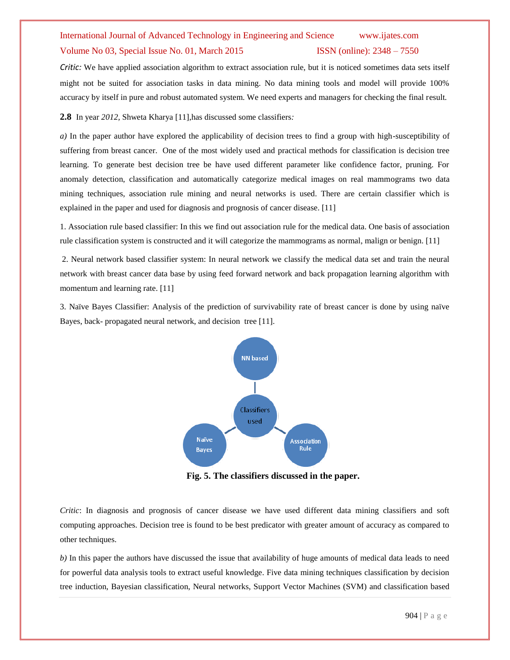### Volume No 03, Special Issue No. 01, March 2015 ISSN (online): 2348 – 7550

*Critic:* We have applied association algorithm to extract association rule, but it is noticed sometimes data sets itself might not be suited for association tasks in data mining. No data mining tools and model will provide 100% accuracy by itself in pure and robust automated system. We need experts and managers for checking the final result*.*

**2.8** In year *2012,* Shweta Kharya [11],has discussed some classifiers*:*

*a)* In the paper author have explored the applicability of decision trees to find a group with high-susceptibility of suffering from breast cancer. One of the most widely used and practical methods for classification is decision tree learning. To generate best decision tree be have used different parameter like confidence factor, pruning. For anomaly detection, classification and automatically categorize medical images on real mammograms two data mining techniques, association rule mining and neural networks is used. There are certain classifier which is explained in the paper and used for diagnosis and prognosis of cancer disease. [11]

1. Association rule based classifier: In this we find out association rule for the medical data. One basis of association rule classification system is constructed and it will categorize the mammograms as normal, malign or benign. [11]

2. Neural network based classifier system: In neural network we classify the medical data set and train the neural network with breast cancer data base by using feed forward network and back propagation learning algorithm with momentum and learning rate. [11]

3. Naïve Bayes Classifier: Analysis of the prediction of survivability rate of breast cancer is done by using naïve Bayes, back- propagated neural network, and decision tree [11].



**Fig. 5. The classifiers discussed in the paper.**

*Critic*: In diagnosis and prognosis of cancer disease we have used different data mining classifiers and soft computing approaches. Decision tree is found to be best predicator with greater amount of accuracy as compared to other techniques.

*b)* In this paper the authors have discussed the issue that availability of huge amounts of medical data leads to need for powerful data analysis tools to extract useful knowledge. Five data mining techniques classification by decision tree induction, Bayesian classification, Neural networks, Support Vector Machines (SVM) and classification based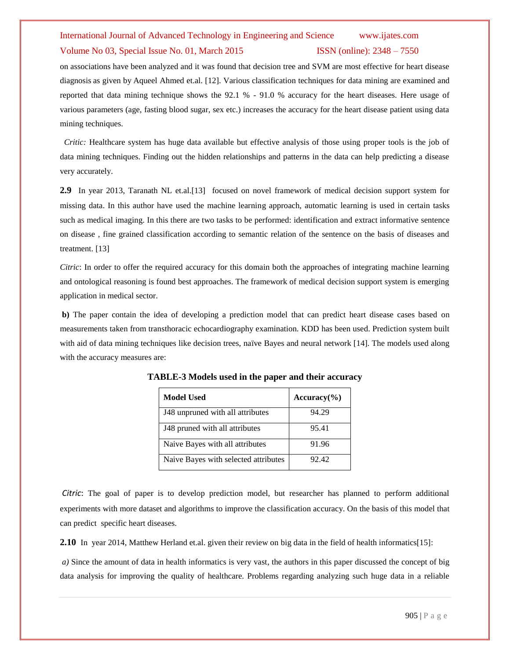## Volume No 03, Special Issue No. 01, March 2015 ISSN (online): 2348 – 7550

on associations have been analyzed and it was found that decision tree and SVM are most effective for heart disease diagnosis as given by Aqueel Ahmed et.al. [12]. Various classification techniques for data mining are examined and reported that data mining technique shows the 92.1 % - 91.0 % accuracy for the heart diseases. Here usage of various parameters (age, fasting blood sugar, sex etc.) increases the accuracy for the heart disease patient using data mining techniques.

 *Critic:* Healthcare system has huge data available but effective analysis of those using proper tools is the job of data mining techniques. Finding out the hidden relationships and patterns in the data can help predicting a disease very accurately.

**2.9** In year 2013, Taranath NL et.al.[13] focused on novel framework of medical decision support system for missing data. In this author have used the machine learning approach, automatic learning is used in certain tasks such as medical imaging. In this there are two tasks to be performed: identification and extract informative sentence on disease , fine grained classification according to semantic relation of the sentence on the basis of diseases and treatment. [13]

*Citric*: In order to offer the required accuracy for this domain both the approaches of integrating machine learning and ontological reasoning is found best approaches. The framework of medical decision support system is emerging application in medical sector.

**b)** The paper contain the idea of developing a prediction model that can predict heart disease cases based on measurements taken from transthoracic echocardiography examination. KDD has been used. Prediction system built with aid of data mining techniques like decision trees, naïve Bayes and neural network [14]. The models used along with the accuracy measures are:

| <b>Model Used</b>                    | $Accuracy(\% )$ |
|--------------------------------------|-----------------|
| J48 unpruned with all attributes     | 94.29           |
| J48 pruned with all attributes       | 95.41           |
| Naive Bayes with all attributes      | 91.96           |
| Naive Bayes with selected attributes | 92.42           |

**TABLE-3 Models used in the paper and their accuracy**

*Citric*: The goal of paper is to develop prediction model, but researcher has planned to perform additional experiments with more dataset and algorithms to improve the classification accuracy. On the basis of this model that can predict specific heart diseases.

**2.10** In year 2014, Matthew Herland et.al. given their review on big data in the field of health informatics[15]:

*a)* Since the amount of data in health informatics is very vast, the authors in this paper discussed the concept of big data analysis for improving the quality of healthcare. Problems regarding analyzing such huge data in a reliable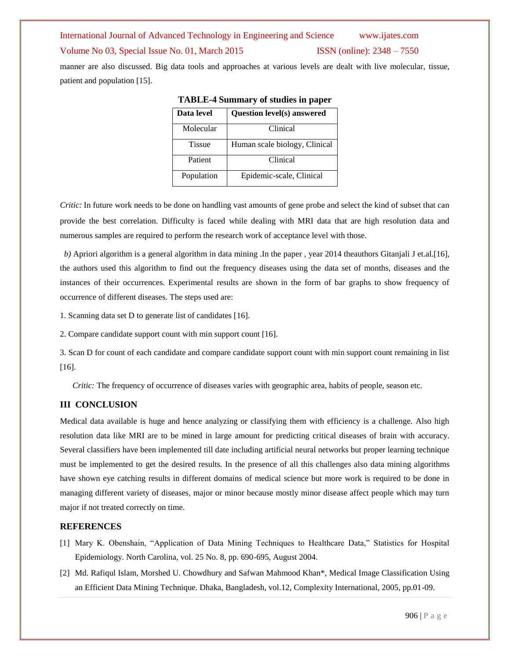International Journal of Advanced Technology in Engineering and Science www.ijates.com Volume No 03, Special Issue No. 01, March 2015 **ISSN** (online): 2348 – 7550 manner are also discussed. Big data tools and approaches at various levels are dealt with live molecular, tissue,

patient and population [15].

| Data level    | <b>Question level(s) answered</b> |
|---------------|-----------------------------------|
| Molecular     | Clinical                          |
| <b>Tissue</b> | Human scale biology, Clinical     |
| Patient       | Clinical                          |
| Population    | Epidemic-scale, Clinical          |

**TABLE-4 Summary of studies in paper**

*Critic:* In future work needs to be done on handling vast amounts of gene probe and select the kind of subset that can provide the best correlation. Difficulty is faced while dealing with MRI data that are high resolution data and numerous samples are required to perform the research work of acceptance level with those.

*b*) Apriori algorithm is a general algorithm in data mining .In the paper, year 2014 theauthors Gitanjali J et.al. [16], the authors used this algorithm to find out the frequency diseases using the data set of months, diseases and the instances of their occurrences. Experimental results are shown in the form of bar graphs to show frequency of occurrence of different diseases. The steps used are:

1. Scanning data set D to generate list of candidates [16].

2. Compare candidate support count with min support count [16].

3. Scan D for count of each candidate and compare candidate support count with min support count remaining in list [16].

*Critic:* The frequency of occurrence of diseases varies with geographic area, habits of people, season etc.

## **III CONCLUSION**

Medical data available is huge and hence analyzing or classifying them with efficiency is a challenge. Also high resolution data like MRI are to be mined in large amount for predicting critical diseases of brain with accuracy. Several classifiers have been implemented till date including artificial neural networks but proper learning technique must be implemented to get the desired results. In the presence of all this challenges also data mining algorithms have shown eye catching results in different domains of medical science but more work is required to be done in managing different variety of diseases, major or minor because mostly minor disease affect people which may turn major if not treated correctly on time.

### **REFERENCES**

- [1] Mary K. Obenshain, "Application of Data Mining Techniques to Healthcare Data," Statistics for Hospital Epidemiology. North Carolina, vol. 25 No. 8, pp. 690-695, August 2004.
- [2] Md. Rafiqul Islam, Morshed U. Chowdhury and Safwan Mahmood Khan\*, Medical Image Classification Using an Efficient Data Mining Technique. Dhaka, Bangladesh, vol.12, Complexity International, 2005, pp.01-09.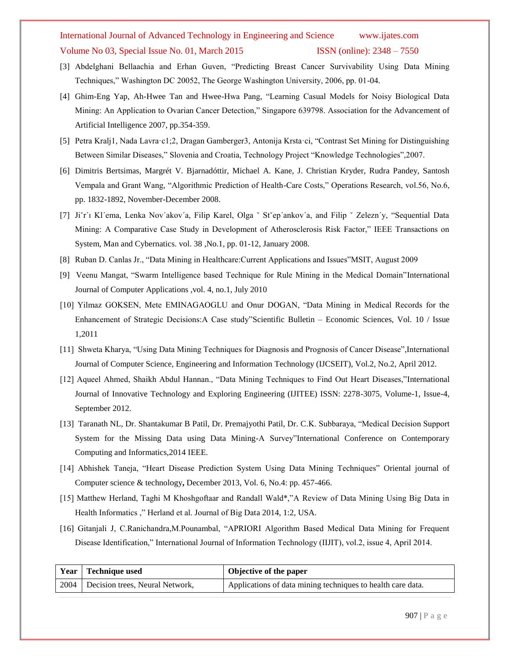## Volume No 03, Special Issue No. 01, March 2015 ISSN (online): 2348 – 7550

- [3] Abdelghani Bellaachia and Erhan Guven, "Predicting Breast Cancer Survivability Using Data Mining Techniques," Washington DC 20052, The George Washington University, 2006, pp. 01-04.
- [4] Ghim-Eng Yap, Ah-Hwee Tan and Hwee-Hwa Pang, "Learning Casual Models for Noisy Biological Data Mining: An Application to Ovarian Cancer Detection," Singapore 639798. Association for the Advancement of Artificial Intelligence 2007, pp.354-359.
- [5] Petra Kralj1, Nada Lavra·c1;2, Dragan Gamberger3, Antonija Krsta·ci, "Contrast Set Mining for Distinguishing Between Similar Diseases," Slovenia and Croatia, Technology Project "Knowledge Technologies",2007.
- [6] Dimitris Bertsimas, Margrét V. Bjarnadóttir, Michael A. Kane, J. Christian Kryder, Rudra Pandey, Santosh Vempala and Grant Wang, "Algorithmic Prediction of Health-Care Costs," Operations Research, vol.56, No.6, pp. 1832-1892, November-December 2008.
- [7] Ji`r´ı Kl'ema, Lenka Nov'akov'a, Filip Karel, Olga ` St`ep'ankov'a, and Filip ` Zelezn'y, "Sequential Data Mining: A Comparative Case Study in Development of Atherosclerosis Risk Factor," IEEE Transactions on System, Man and Cybernatics. vol. 38 ,No.1, pp. 01-12, January 2008.
- [8] Ruban D. Canlas Jr., "Data Mining in Healthcare:Current Applications and Issues"MSIT, August 2009
- [9] Veenu Mangat, "Swarm Intelligence based Technique for Rule Mining in the Medical Domain"International Journal of Computer Applications ,vol. 4, no.1, July 2010
- [10] Yilmaz GOKSEN, Mete EMINAGAOGLU and Onur DOGAN, "Data Mining in Medical Records for the Enhancement of Strategic Decisions:A Case study"Scientific Bulletin – Economic Sciences, Vol. 10 / Issue 1,2011
- [11] Shweta Kharya, "Using Data Mining Techniques for Diagnosis and Prognosis of Cancer Disease",International Journal of Computer Science, Engineering and Information Technology (IJCSEIT), Vol.2, No.2, April 2012.
- [12] Aqueel Ahmed, Shaikh Abdul Hannan., "Data Mining Techniques to Find Out Heart Diseases,"International Journal of Innovative Technology and Exploring Engineering (IJITEE) ISSN: 2278-3075, Volume-1, Issue-4, September 2012.
- [13] Taranath NL, Dr. Shantakumar B Patil, Dr. Premajyothi Patil, Dr. C.K. Subbaraya, "Medical Decision Support System for the Missing Data using Data Mining-A Survey"International Conference on Contemporary Computing and Informatics,2014 IEEE.
- [14] Abhishek Taneja, "Heart Disease Prediction System Using Data Mining Techniques" Oriental journal of Computer science & technology**,** December 2013, Vol. 6, No.4: pp. 457-466.
- [15] Matthew Herland, Taghi M Khoshgoftaar and Randall Wald\*,"A Review of Data Mining Using Big Data in Health Informatics ," Herland et al. Journal of Big Data 2014, 1:2, USA.
- [16] Gitanjali J, C.Ranichandra,M.Pounambal, "APRIORI Algorithm Based Medical Data Mining for Frequent Disease Identification," International Journal of Information Technology (IIJIT), vol.2, issue 4, April 2014.

|      | Year   Technique used           | Objective of the paper                                      |
|------|---------------------------------|-------------------------------------------------------------|
| 2004 | Decision trees, Neural Network, | Applications of data mining techniques to health care data. |